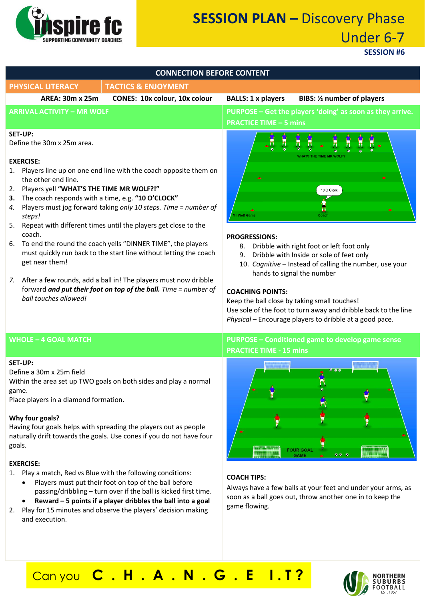

# **SESSION PLAN –** Discovery Phase Under 6-7

**SESSION #6**

| <b>CONNECTION BEFORE CONTENT</b>                                                                                                                                                                                                                                                                                                                                                                                                                                                                                                                                                                                                                                                                                                                                          |                                                                                                                                                                                                                                                                                                                                                                                                                                                                                                         |  |
|---------------------------------------------------------------------------------------------------------------------------------------------------------------------------------------------------------------------------------------------------------------------------------------------------------------------------------------------------------------------------------------------------------------------------------------------------------------------------------------------------------------------------------------------------------------------------------------------------------------------------------------------------------------------------------------------------------------------------------------------------------------------------|---------------------------------------------------------------------------------------------------------------------------------------------------------------------------------------------------------------------------------------------------------------------------------------------------------------------------------------------------------------------------------------------------------------------------------------------------------------------------------------------------------|--|
| <b>TACTICS &amp; ENJOYMENT</b><br><b>PHYSICAL LITERACY</b>                                                                                                                                                                                                                                                                                                                                                                                                                                                                                                                                                                                                                                                                                                                |                                                                                                                                                                                                                                                                                                                                                                                                                                                                                                         |  |
| <b>AREA: 30m x 25m</b><br>CONES: 10x colour, 10x colour                                                                                                                                                                                                                                                                                                                                                                                                                                                                                                                                                                                                                                                                                                                   | <b>BALLS: 1 x players</b><br><b>BIBS:</b> 1/2 number of players                                                                                                                                                                                                                                                                                                                                                                                                                                         |  |
| <b>ARRIVAL ACTIVITY - MR WOLF</b>                                                                                                                                                                                                                                                                                                                                                                                                                                                                                                                                                                                                                                                                                                                                         | PURPOSE - Get the players 'doing' as soon as they arrive.<br><b>PRACTICE TIME - 5 mins</b>                                                                                                                                                                                                                                                                                                                                                                                                              |  |
| SET-UP:<br>Define the 30m x 25m area.<br><b>EXERCISE:</b><br>Players line up on one end line with the coach opposite them on<br>1.<br>the other end line.<br>2. Players yell "WHAT'S THE TIME MR WOLF?!"<br>The coach responds with a time, e.g. "10 O'CLOCK"<br>3.<br>Players must jog forward taking only 10 steps. Time = number of<br>4.<br>steps!<br>Repeat with different times until the players get close to the<br>5.<br>coach.<br>To end the round the coach yells "DINNER TIME", the players<br>6.<br>must quickly run back to the start line without letting the coach<br>get near them!<br>After a few rounds, add a ball in! The players must now dribble<br>7.<br>forward and put their foot on top of the ball. Time = number of<br>hall touches allowed! | Ħ<br>χ<br>Ħ<br>۳.<br>ħ<br>π<br>10 O Clock<br><b>Ar Wolf Game</b><br>Coach<br><b>PROGRESSIONS:</b><br>Dribble with right foot or left foot only<br>8.<br>Dribble with Inside or sole of feet only<br>9.<br>10. Cognitive - Instead of calling the number, use your<br>hands to signal the number<br><b>COACHING POINTS:</b><br>Keep the ball close by taking small touches!<br>Use sole of the foot to turn away and dribble back to the line<br>Physical - Encourage players to dribble at a good pace. |  |

#### **SET-UP:**

Define a 30m x 25m field

Within the area set up TWO goals on both sides and play a normal game.

Place players in a diamond formation.

#### **Why four goals?**

Having four goals helps with spreading the players out as people naturally drift towards the goals. Use cones if you do not have four goals.

#### **EXERCISE:**

1. Play a match, Red vs Blue with the following conditions:

- Players must put their foot on top of the ball before passing/dribbling – turn over if the ball is kicked first time.
- **Reward – 5 points if a player dribbles the ball into a goal**
- 2. Play for 15 minutes and observe the players' decision making and execution.

### **WHOLE – 4 GOAL MATCH PURPOSE – Conditioned game to develop game sense PRACTICE TIME - 15 mins**



### **COACH TIPS:**

Always have a few balls at your feet and under your arms, as soon as a ball goes out, throw another one in to keep the game flowing.

## Can you **C . H . A . N . G . E I . T ?**